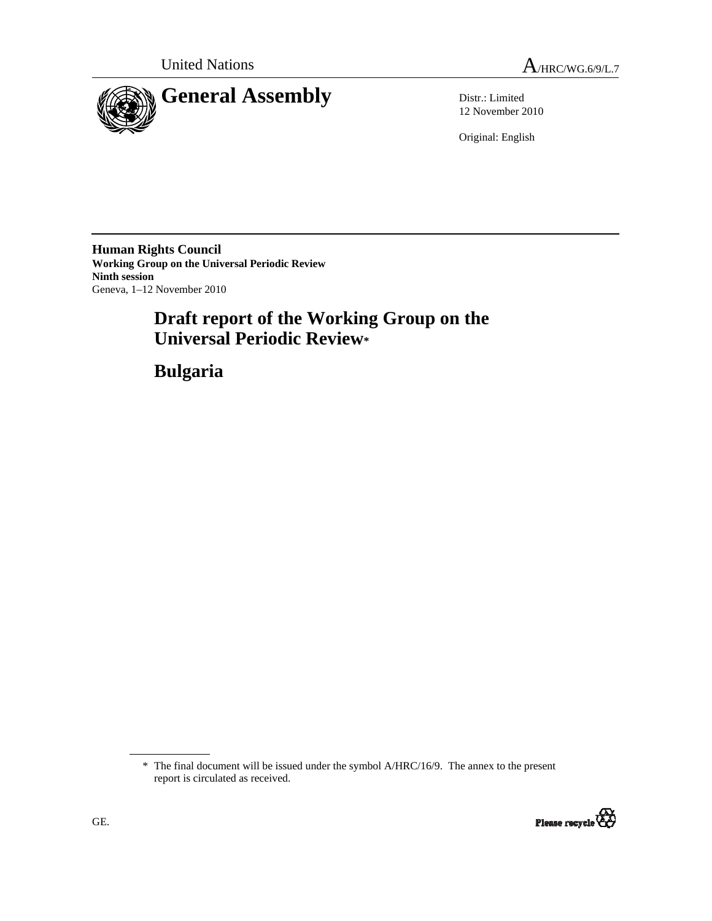United Nations  $A_{HRC/WG.6/9/L.7}$ 



12 November 2010

Original: English

**Human Rights Council Working Group on the Universal Periodic Review Ninth session**  Geneva, 1–12 November 2010

# **Draft report of the Working Group on the Universal Periodic Review\***

 **Bulgaria** 

<sup>\*</sup> The final document will be issued under the symbol A/HRC/16/9. The annex to the present report is circulated as received.

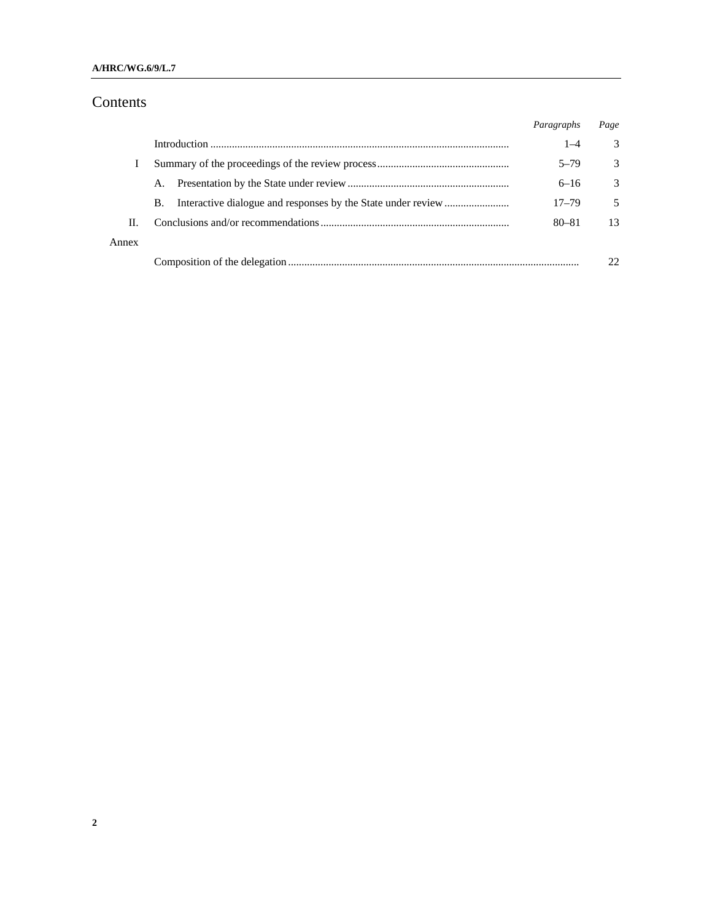# Contents

|       |    | Paragraphs | Page          |
|-------|----|------------|---------------|
|       |    | $1 - 4$    | 3             |
|       |    | $5 - 79$   | 3             |
|       | А. | $6 - 16$   | $\mathcal{F}$ |
|       | В. | $17 - 79$  | 5             |
| Н.    |    | $80 - 81$  | 13            |
| Annex |    |            |               |
|       |    |            |               |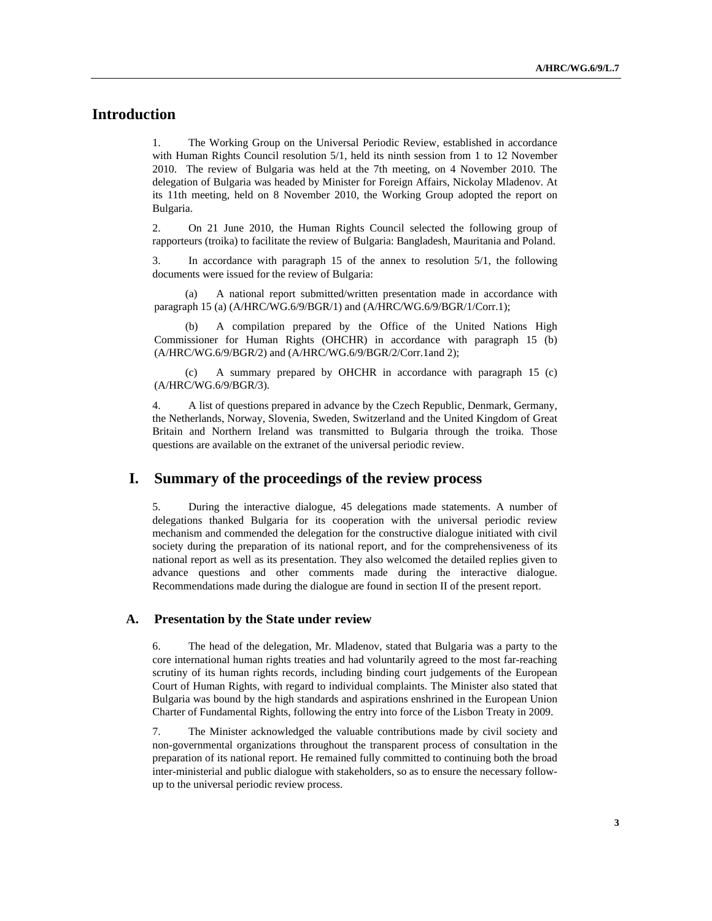# **Introduction**

1. The Working Group on the Universal Periodic Review, established in accordance with Human Rights Council resolution 5/1, held its ninth session from 1 to 12 November 2010. The review of Bulgaria was held at the 7th meeting, on 4 November 2010. The delegation of Bulgaria was headed by Minister for Foreign Affairs, Nickolay Mladenov. At its 11th meeting, held on 8 November 2010, the Working Group adopted the report on Bulgaria.

2. On 21 June 2010, the Human Rights Council selected the following group of rapporteurs (troika) to facilitate the review of Bulgaria: Bangladesh, Mauritania and Poland.

In accordance with paragraph 15 of the annex to resolution  $5/1$ , the following documents were issued for the review of Bulgaria:

A national report submitted/written presentation made in accordance with paragraph 15 (a) (A/HRC/WG.6/9/BGR/1) and (A/HRC/WG.6/9/BGR/1/Corr.1);

 (b) A compilation prepared by the Office of the United Nations High Commissioner for Human Rights (OHCHR) in accordance with paragraph 15 (b) (A/HRC/WG.6/9/BGR/2) and (A/HRC/WG.6/9/BGR/2/Corr.1and 2);

 (c) A summary prepared by OHCHR in accordance with paragraph 15 (c) (A/HRC/WG.6/9/BGR/3).

4. A list of questions prepared in advance by the Czech Republic, Denmark, Germany, the Netherlands, Norway, Slovenia, Sweden, Switzerland and the United Kingdom of Great Britain and Northern Ireland was transmitted to Bulgaria through the troika. Those questions are available on the extranet of the universal periodic review.

#### **I. Summary of the proceedings of the review process**

5. During the interactive dialogue, 45 delegations made statements. A number of delegations thanked Bulgaria for its cooperation with the universal periodic review mechanism and commended the delegation for the constructive dialogue initiated with civil society during the preparation of its national report, and for the comprehensiveness of its national report as well as its presentation. They also welcomed the detailed replies given to advance questions and other comments made during the interactive dialogue. Recommendations made during the dialogue are found in section II of the present report.

#### **A. Presentation by the State under review**

6. The head of the delegation, Mr. Mladenov, stated that Bulgaria was a party to the core international human rights treaties and had voluntarily agreed to the most far-reaching scrutiny of its human rights records, including binding court judgements of the European Court of Human Rights, with regard to individual complaints. The Minister also stated that Bulgaria was bound by the high standards and aspirations enshrined in the European Union Charter of Fundamental Rights, following the entry into force of the Lisbon Treaty in 2009.

7. The Minister acknowledged the valuable contributions made by civil society and non-governmental organizations throughout the transparent process of consultation in the preparation of its national report. He remained fully committed to continuing both the broad inter-ministerial and public dialogue with stakeholders, so as to ensure the necessary followup to the universal periodic review process.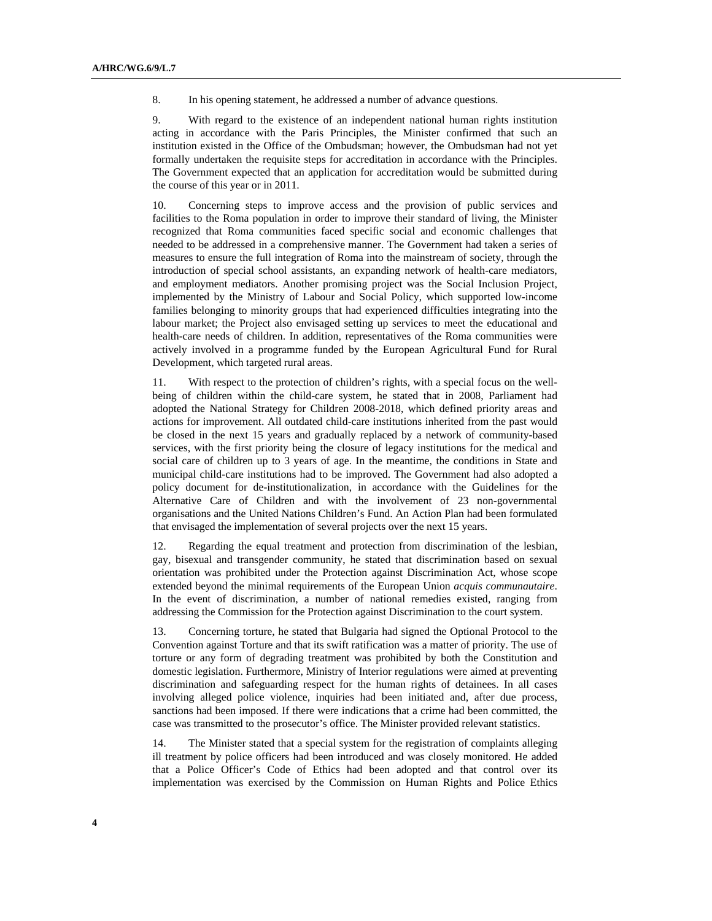8. In his opening statement, he addressed a number of advance questions.

9. With regard to the existence of an independent national human rights institution acting in accordance with the Paris Principles, the Minister confirmed that such an institution existed in the Office of the Ombudsman; however, the Ombudsman had not yet formally undertaken the requisite steps for accreditation in accordance with the Principles. The Government expected that an application for accreditation would be submitted during the course of this year or in 2011.

10. Concerning steps to improve access and the provision of public services and facilities to the Roma population in order to improve their standard of living, the Minister recognized that Roma communities faced specific social and economic challenges that needed to be addressed in a comprehensive manner. The Government had taken a series of measures to ensure the full integration of Roma into the mainstream of society, through the introduction of special school assistants, an expanding network of health-care mediators, and employment mediators. Another promising project was the Social Inclusion Project, implemented by the Ministry of Labour and Social Policy, which supported low-income families belonging to minority groups that had experienced difficulties integrating into the labour market; the Project also envisaged setting up services to meet the educational and health-care needs of children. In addition, representatives of the Roma communities were actively involved in a programme funded by the European Agricultural Fund for Rural Development, which targeted rural areas.

11. With respect to the protection of children's rights, with a special focus on the wellbeing of children within the child-care system, he stated that in 2008, Parliament had adopted the National Strategy for Children 2008-2018, which defined priority areas and actions for improvement. All outdated child-care institutions inherited from the past would be closed in the next 15 years and gradually replaced by a network of community-based services, with the first priority being the closure of legacy institutions for the medical and social care of children up to 3 years of age. In the meantime, the conditions in State and municipal child-care institutions had to be improved. The Government had also adopted a policy document for de-institutionalization, in accordance with the Guidelines for the Alternative Care of Children and with the involvement of 23 non-governmental organisations and the United Nations Children's Fund. An Action Plan had been formulated that envisaged the implementation of several projects over the next 15 years.

12. Regarding the equal treatment and protection from discrimination of the lesbian, gay, bisexual and transgender community, he stated that discrimination based on sexual orientation was prohibited under the Protection against Discrimination Act, whose scope extended beyond the minimal requirements of the European Union *acquis communautaire*. In the event of discrimination, a number of national remedies existed, ranging from addressing the Commission for the Protection against Discrimination to the court system.

13. Concerning torture, he stated that Bulgaria had signed the Optional Protocol to the Convention against Torture and that its swift ratification was a matter of priority. The use of torture or any form of degrading treatment was prohibited by both the Constitution and domestic legislation. Furthermore, Ministry of Interior regulations were aimed at preventing discrimination and safeguarding respect for the human rights of detainees. In all cases involving alleged police violence, inquiries had been initiated and, after due process, sanctions had been imposed. If there were indications that a crime had been committed, the case was transmitted to the prosecutor's office. The Minister provided relevant statistics.

14. The Minister stated that a special system for the registration of complaints alleging ill treatment by police officers had been introduced and was closely monitored. He added that a Police Officer's Code of Ethics had been adopted and that control over its implementation was exercised by the Commission on Human Rights and Police Ethics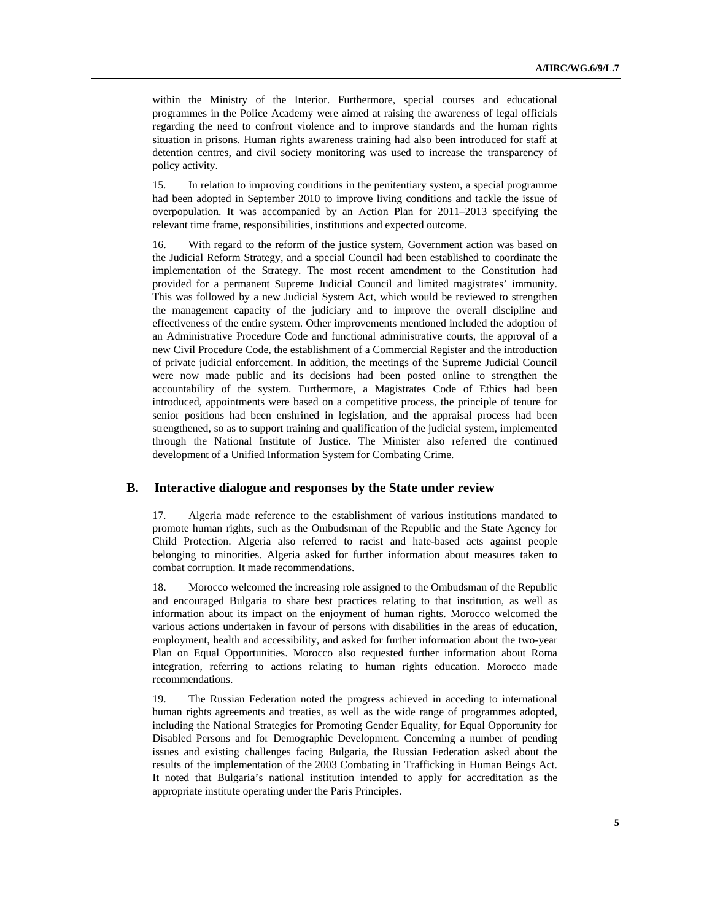within the Ministry of the Interior. Furthermore, special courses and educational programmes in the Police Academy were aimed at raising the awareness of legal officials regarding the need to confront violence and to improve standards and the human rights situation in prisons. Human rights awareness training had also been introduced for staff at detention centres, and civil society monitoring was used to increase the transparency of policy activity.

15. In relation to improving conditions in the penitentiary system, a special programme had been adopted in September 2010 to improve living conditions and tackle the issue of overpopulation. It was accompanied by an Action Plan for 2011–2013 specifying the relevant time frame, responsibilities, institutions and expected outcome.

16. With regard to the reform of the justice system, Government action was based on the Judicial Reform Strategy, and a special Council had been established to coordinate the implementation of the Strategy. The most recent amendment to the Constitution had provided for a permanent Supreme Judicial Council and limited magistrates' immunity. This was followed by a new Judicial System Act, which would be reviewed to strengthen the management capacity of the judiciary and to improve the overall discipline and effectiveness of the entire system. Other improvements mentioned included the adoption of an Administrative Procedure Code and functional administrative courts, the approval of a new Civil Procedure Code, the establishment of a Commercial Register and the introduction of private judicial enforcement. In addition, the meetings of the Supreme Judicial Council were now made public and its decisions had been posted online to strengthen the accountability of the system. Furthermore, a Magistrates Code of Ethics had been introduced, appointments were based on a competitive process, the principle of tenure for senior positions had been enshrined in legislation, and the appraisal process had been strengthened, so as to support training and qualification of the judicial system, implemented through the National Institute of Justice. The Minister also referred the continued development of a Unified Information System for Combating Crime.

#### **B. Interactive dialogue and responses by the State under review**

17. Algeria made reference to the establishment of various institutions mandated to promote human rights, such as the Ombudsman of the Republic and the State Agency for Child Protection. Algeria also referred to racist and hate-based acts against people belonging to minorities. Algeria asked for further information about measures taken to combat corruption. It made recommendations.

18. Morocco welcomed the increasing role assigned to the Ombudsman of the Republic and encouraged Bulgaria to share best practices relating to that institution, as well as information about its impact on the enjoyment of human rights. Morocco welcomed the various actions undertaken in favour of persons with disabilities in the areas of education, employment, health and accessibility, and asked for further information about the two-year Plan on Equal Opportunities. Morocco also requested further information about Roma integration, referring to actions relating to human rights education. Morocco made recommendations.

19. The Russian Federation noted the progress achieved in acceding to international human rights agreements and treaties, as well as the wide range of programmes adopted, including the National Strategies for Promoting Gender Equality, for Equal Opportunity for Disabled Persons and for Demographic Development. Concerning a number of pending issues and existing challenges facing Bulgaria, the Russian Federation asked about the results of the implementation of the 2003 Combating in Trafficking in Human Beings Act. It noted that Bulgaria's national institution intended to apply for accreditation as the appropriate institute operating under the Paris Principles.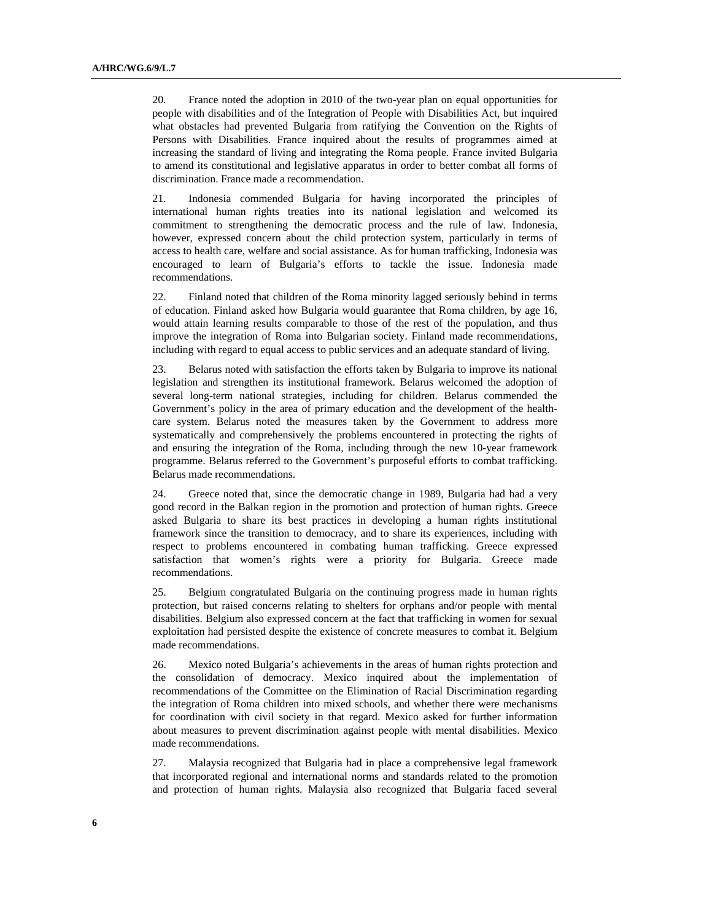20. France noted the adoption in 2010 of the two-year plan on equal opportunities for people with disabilities and of the Integration of People with Disabilities Act, but inquired what obstacles had prevented Bulgaria from ratifying the Convention on the Rights of Persons with Disabilities. France inquired about the results of programmes aimed at increasing the standard of living and integrating the Roma people. France invited Bulgaria to amend its constitutional and legislative apparatus in order to better combat all forms of discrimination. France made a recommendation.

21. Indonesia commended Bulgaria for having incorporated the principles of international human rights treaties into its national legislation and welcomed its commitment to strengthening the democratic process and the rule of law. Indonesia, however, expressed concern about the child protection system, particularly in terms of access to health care, welfare and social assistance. As for human trafficking, Indonesia was encouraged to learn of Bulgaria's efforts to tackle the issue. Indonesia made recommendations.

22. Finland noted that children of the Roma minority lagged seriously behind in terms of education. Finland asked how Bulgaria would guarantee that Roma children, by age 16, would attain learning results comparable to those of the rest of the population, and thus improve the integration of Roma into Bulgarian society. Finland made recommendations, including with regard to equal access to public services and an adequate standard of living.

23. Belarus noted with satisfaction the efforts taken by Bulgaria to improve its national legislation and strengthen its institutional framework. Belarus welcomed the adoption of several long-term national strategies, including for children. Belarus commended the Government's policy in the area of primary education and the development of the healthcare system. Belarus noted the measures taken by the Government to address more systematically and comprehensively the problems encountered in protecting the rights of and ensuring the integration of the Roma, including through the new 10-year framework programme. Belarus referred to the Government's purposeful efforts to combat trafficking. Belarus made recommendations.

24. Greece noted that, since the democratic change in 1989, Bulgaria had had a very good record in the Balkan region in the promotion and protection of human rights. Greece asked Bulgaria to share its best practices in developing a human rights institutional framework since the transition to democracy, and to share its experiences, including with respect to problems encountered in combating human trafficking. Greece expressed satisfaction that women's rights were a priority for Bulgaria. Greece made recommendations.

25. Belgium congratulated Bulgaria on the continuing progress made in human rights protection, but raised concerns relating to shelters for orphans and/or people with mental disabilities. Belgium also expressed concern at the fact that trafficking in women for sexual exploitation had persisted despite the existence of concrete measures to combat it. Belgium made recommendations.

26. Mexico noted Bulgaria's achievements in the areas of human rights protection and the consolidation of democracy. Mexico inquired about the implementation of recommendations of the Committee on the Elimination of Racial Discrimination regarding the integration of Roma children into mixed schools, and whether there were mechanisms for coordination with civil society in that regard. Mexico asked for further information about measures to prevent discrimination against people with mental disabilities. Mexico made recommendations.

27. Malaysia recognized that Bulgaria had in place a comprehensive legal framework that incorporated regional and international norms and standards related to the promotion and protection of human rights. Malaysia also recognized that Bulgaria faced several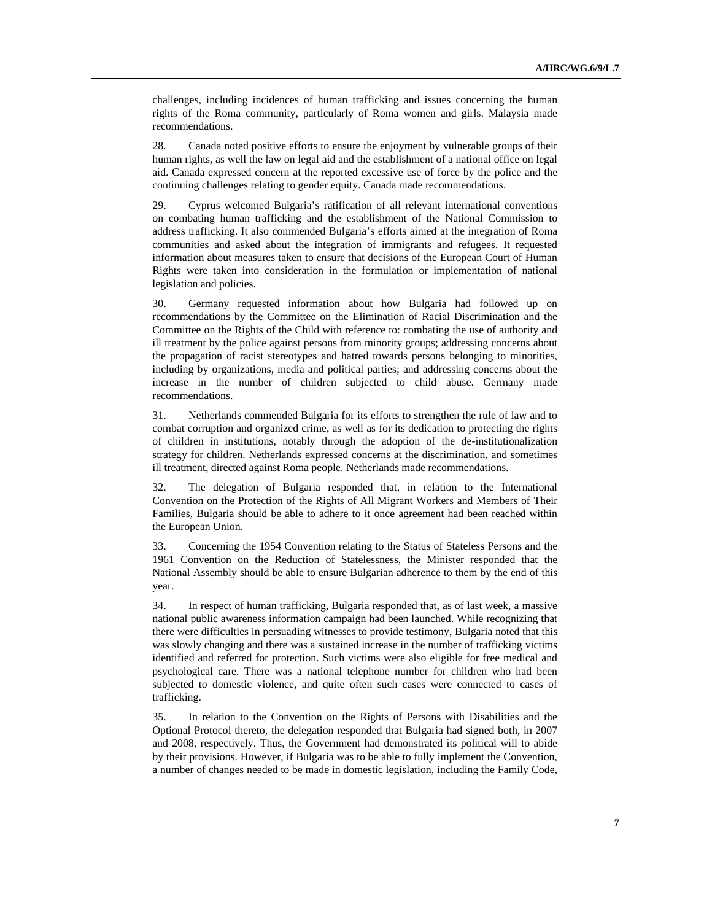challenges, including incidences of human trafficking and issues concerning the human rights of the Roma community, particularly of Roma women and girls. Malaysia made recommendations.

28. Canada noted positive efforts to ensure the enjoyment by vulnerable groups of their human rights, as well the law on legal aid and the establishment of a national office on legal aid. Canada expressed concern at the reported excessive use of force by the police and the continuing challenges relating to gender equity. Canada made recommendations.

29. Cyprus welcomed Bulgaria's ratification of all relevant international conventions on combating human trafficking and the establishment of the National Commission to address trafficking. It also commended Bulgaria's efforts aimed at the integration of Roma communities and asked about the integration of immigrants and refugees. It requested information about measures taken to ensure that decisions of the European Court of Human Rights were taken into consideration in the formulation or implementation of national legislation and policies.

30. Germany requested information about how Bulgaria had followed up on recommendations by the Committee on the Elimination of Racial Discrimination and the Committee on the Rights of the Child with reference to: combating the use of authority and ill treatment by the police against persons from minority groups; addressing concerns about the propagation of racist stereotypes and hatred towards persons belonging to minorities, including by organizations, media and political parties; and addressing concerns about the increase in the number of children subjected to child abuse. Germany made recommendations.

31. Netherlands commended Bulgaria for its efforts to strengthen the rule of law and to combat corruption and organized crime, as well as for its dedication to protecting the rights of children in institutions, notably through the adoption of the de-institutionalization strategy for children. Netherlands expressed concerns at the discrimination, and sometimes ill treatment, directed against Roma people. Netherlands made recommendations.

32. The delegation of Bulgaria responded that, in relation to the International Convention on the Protection of the Rights of All Migrant Workers and Members of Their Families, Bulgaria should be able to adhere to it once agreement had been reached within the European Union.

33. Concerning the 1954 Convention relating to the Status of Stateless Persons and the 1961 Convention on the Reduction of Statelessness, the Minister responded that the National Assembly should be able to ensure Bulgarian adherence to them by the end of this year.

34. In respect of human trafficking, Bulgaria responded that, as of last week, a massive national public awareness information campaign had been launched. While recognizing that there were difficulties in persuading witnesses to provide testimony, Bulgaria noted that this was slowly changing and there was a sustained increase in the number of trafficking victims identified and referred for protection. Such victims were also eligible for free medical and psychological care. There was a national telephone number for children who had been subjected to domestic violence, and quite often such cases were connected to cases of trafficking.

35. In relation to the Convention on the Rights of Persons with Disabilities and the Optional Protocol thereto, the delegation responded that Bulgaria had signed both, in 2007 and 2008, respectively. Thus, the Government had demonstrated its political will to abide by their provisions. However, if Bulgaria was to be able to fully implement the Convention, a number of changes needed to be made in domestic legislation, including the Family Code,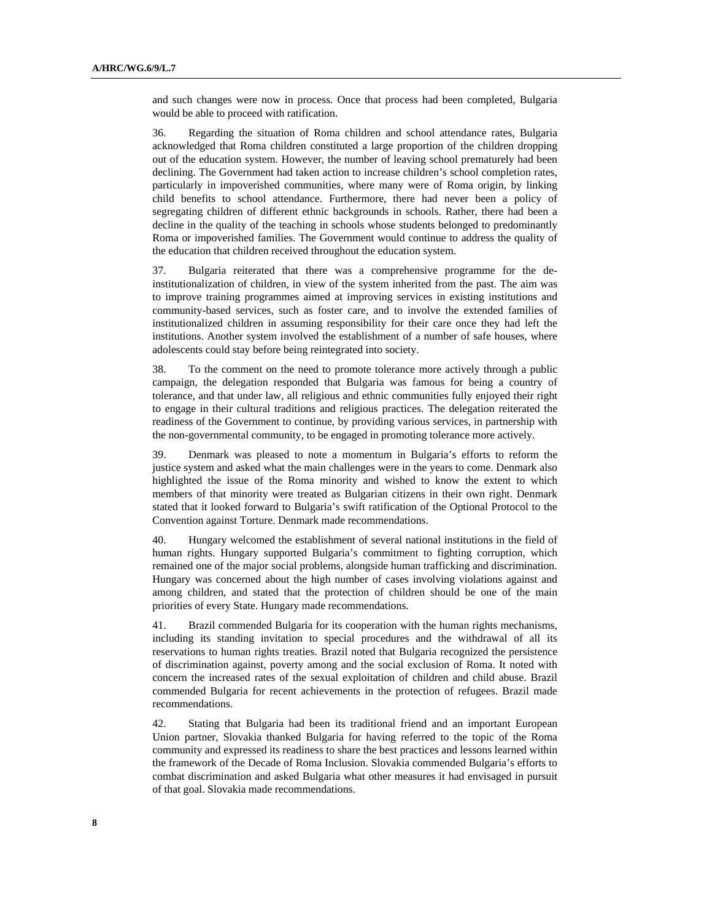and such changes were now in process. Once that process had been completed, Bulgaria would be able to proceed with ratification.

36. Regarding the situation of Roma children and school attendance rates, Bulgaria acknowledged that Roma children constituted a large proportion of the children dropping out of the education system. However, the number of leaving school prematurely had been declining. The Government had taken action to increase children's school completion rates, particularly in impoverished communities, where many were of Roma origin, by linking child benefits to school attendance. Furthermore, there had never been a policy of segregating children of different ethnic backgrounds in schools. Rather, there had been a decline in the quality of the teaching in schools whose students belonged to predominantly Roma or impoverished families. The Government would continue to address the quality of the education that children received throughout the education system.

37. Bulgaria reiterated that there was a comprehensive programme for the deinstitutionalization of children, in view of the system inherited from the past. The aim was to improve training programmes aimed at improving services in existing institutions and community-based services, such as foster care, and to involve the extended families of institutionalized children in assuming responsibility for their care once they had left the institutions. Another system involved the establishment of a number of safe houses, where adolescents could stay before being reintegrated into society.

38. To the comment on the need to promote tolerance more actively through a public campaign, the delegation responded that Bulgaria was famous for being a country of tolerance, and that under law, all religious and ethnic communities fully enjoyed their right to engage in their cultural traditions and religious practices. The delegation reiterated the readiness of the Government to continue, by providing various services, in partnership with the non-governmental community, to be engaged in promoting tolerance more actively.

39. Denmark was pleased to note a momentum in Bulgaria's efforts to reform the justice system and asked what the main challenges were in the years to come. Denmark also highlighted the issue of the Roma minority and wished to know the extent to which members of that minority were treated as Bulgarian citizens in their own right. Denmark stated that it looked forward to Bulgaria's swift ratification of the Optional Protocol to the Convention against Torture. Denmark made recommendations.

40. Hungary welcomed the establishment of several national institutions in the field of human rights. Hungary supported Bulgaria's commitment to fighting corruption, which remained one of the major social problems, alongside human trafficking and discrimination. Hungary was concerned about the high number of cases involving violations against and among children, and stated that the protection of children should be one of the main priorities of every State. Hungary made recommendations.

41. Brazil commended Bulgaria for its cooperation with the human rights mechanisms, including its standing invitation to special procedures and the withdrawal of all its reservations to human rights treaties. Brazil noted that Bulgaria recognized the persistence of discrimination against, poverty among and the social exclusion of Roma. It noted with concern the increased rates of the sexual exploitation of children and child abuse. Brazil commended Bulgaria for recent achievements in the protection of refugees. Brazil made recommendations.

42. Stating that Bulgaria had been its traditional friend and an important European Union partner, Slovakia thanked Bulgaria for having referred to the topic of the Roma community and expressed its readiness to share the best practices and lessons learned within the framework of the Decade of Roma Inclusion. Slovakia commended Bulgaria's efforts to combat discrimination and asked Bulgaria what other measures it had envisaged in pursuit of that goal. Slovakia made recommendations.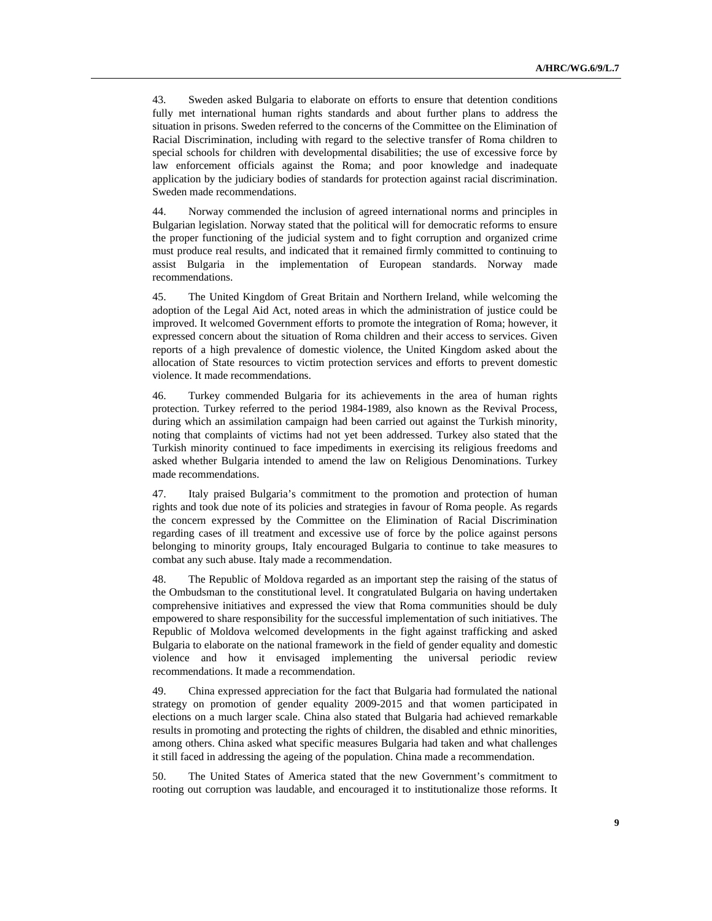43. Sweden asked Bulgaria to elaborate on efforts to ensure that detention conditions fully met international human rights standards and about further plans to address the situation in prisons. Sweden referred to the concerns of the Committee on the Elimination of Racial Discrimination, including with regard to the selective transfer of Roma children to special schools for children with developmental disabilities; the use of excessive force by law enforcement officials against the Roma; and poor knowledge and inadequate application by the judiciary bodies of standards for protection against racial discrimination. Sweden made recommendations.

44. Norway commended the inclusion of agreed international norms and principles in Bulgarian legislation. Norway stated that the political will for democratic reforms to ensure the proper functioning of the judicial system and to fight corruption and organized crime must produce real results, and indicated that it remained firmly committed to continuing to assist Bulgaria in the implementation of European standards. Norway made recommendations.

45. The United Kingdom of Great Britain and Northern Ireland, while welcoming the adoption of the Legal Aid Act, noted areas in which the administration of justice could be improved. It welcomed Government efforts to promote the integration of Roma; however, it expressed concern about the situation of Roma children and their access to services. Given reports of a high prevalence of domestic violence, the United Kingdom asked about the allocation of State resources to victim protection services and efforts to prevent domestic violence. It made recommendations.

46. Turkey commended Bulgaria for its achievements in the area of human rights protection. Turkey referred to the period 1984-1989, also known as the Revival Process, during which an assimilation campaign had been carried out against the Turkish minority, noting that complaints of victims had not yet been addressed. Turkey also stated that the Turkish minority continued to face impediments in exercising its religious freedoms and asked whether Bulgaria intended to amend the law on Religious Denominations. Turkey made recommendations.

47. Italy praised Bulgaria's commitment to the promotion and protection of human rights and took due note of its policies and strategies in favour of Roma people. As regards the concern expressed by the Committee on the Elimination of Racial Discrimination regarding cases of ill treatment and excessive use of force by the police against persons belonging to minority groups, Italy encouraged Bulgaria to continue to take measures to combat any such abuse. Italy made a recommendation.

48. The Republic of Moldova regarded as an important step the raising of the status of the Ombudsman to the constitutional level. It congratulated Bulgaria on having undertaken comprehensive initiatives and expressed the view that Roma communities should be duly empowered to share responsibility for the successful implementation of such initiatives. The Republic of Moldova welcomed developments in the fight against trafficking and asked Bulgaria to elaborate on the national framework in the field of gender equality and domestic violence and how it envisaged implementing the universal periodic review recommendations. It made a recommendation.

49. China expressed appreciation for the fact that Bulgaria had formulated the national strategy on promotion of gender equality 2009-2015 and that women participated in elections on a much larger scale. China also stated that Bulgaria had achieved remarkable results in promoting and protecting the rights of children, the disabled and ethnic minorities, among others. China asked what specific measures Bulgaria had taken and what challenges it still faced in addressing the ageing of the population. China made a recommendation.

50. The United States of America stated that the new Government's commitment to rooting out corruption was laudable, and encouraged it to institutionalize those reforms. It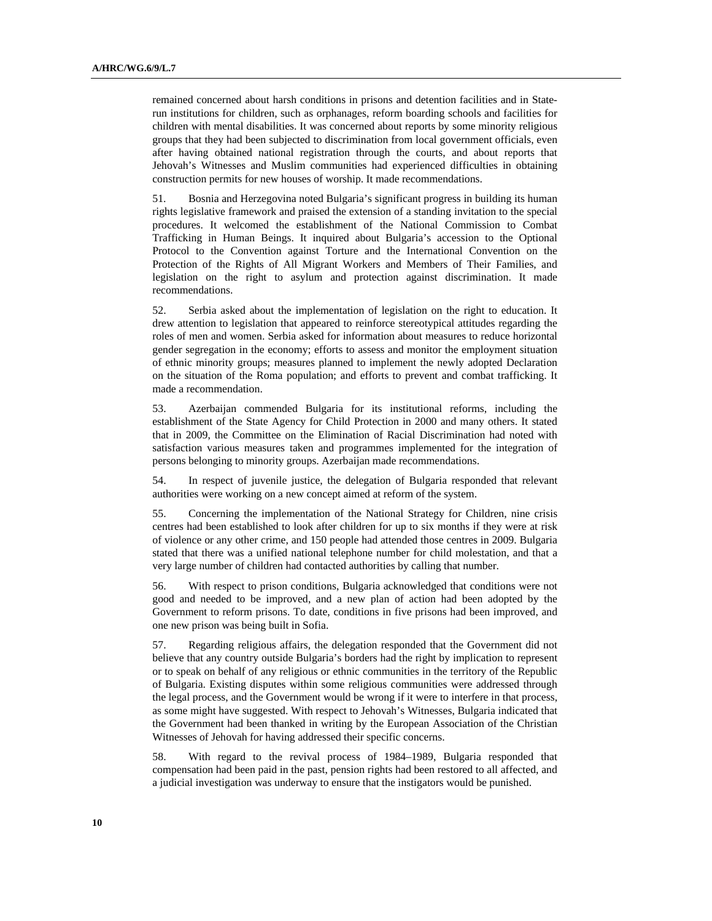remained concerned about harsh conditions in prisons and detention facilities and in Staterun institutions for children, such as orphanages, reform boarding schools and facilities for children with mental disabilities. It was concerned about reports by some minority religious groups that they had been subjected to discrimination from local government officials, even after having obtained national registration through the courts, and about reports that Jehovah's Witnesses and Muslim communities had experienced difficulties in obtaining construction permits for new houses of worship. It made recommendations.

51. Bosnia and Herzegovina noted Bulgaria's significant progress in building its human rights legislative framework and praised the extension of a standing invitation to the special procedures. It welcomed the establishment of the National Commission to Combat Trafficking in Human Beings. It inquired about Bulgaria's accession to the Optional Protocol to the Convention against Torture and the International Convention on the Protection of the Rights of All Migrant Workers and Members of Their Families, and legislation on the right to asylum and protection against discrimination. It made recommendations.

52. Serbia asked about the implementation of legislation on the right to education. It drew attention to legislation that appeared to reinforce stereotypical attitudes regarding the roles of men and women. Serbia asked for information about measures to reduce horizontal gender segregation in the economy; efforts to assess and monitor the employment situation of ethnic minority groups; measures planned to implement the newly adopted Declaration on the situation of the Roma population; and efforts to prevent and combat trafficking. It made a recommendation.

53. Azerbaijan commended Bulgaria for its institutional reforms, including the establishment of the State Agency for Child Protection in 2000 and many others. It stated that in 2009, the Committee on the Elimination of Racial Discrimination had noted with satisfaction various measures taken and programmes implemented for the integration of persons belonging to minority groups. Azerbaijan made recommendations.

54. In respect of juvenile justice, the delegation of Bulgaria responded that relevant authorities were working on a new concept aimed at reform of the system.

55. Concerning the implementation of the National Strategy for Children, nine crisis centres had been established to look after children for up to six months if they were at risk of violence or any other crime, and 150 people had attended those centres in 2009. Bulgaria stated that there was a unified national telephone number for child molestation, and that a very large number of children had contacted authorities by calling that number.

56. With respect to prison conditions, Bulgaria acknowledged that conditions were not good and needed to be improved, and a new plan of action had been adopted by the Government to reform prisons. To date, conditions in five prisons had been improved, and one new prison was being built in Sofia.

57. Regarding religious affairs, the delegation responded that the Government did not believe that any country outside Bulgaria's borders had the right by implication to represent or to speak on behalf of any religious or ethnic communities in the territory of the Republic of Bulgaria. Existing disputes within some religious communities were addressed through the legal process, and the Government would be wrong if it were to interfere in that process, as some might have suggested. With respect to Jehovah's Witnesses, Bulgaria indicated that the Government had been thanked in writing by the European Association of the Christian Witnesses of Jehovah for having addressed their specific concerns.

58. With regard to the revival process of 1984–1989, Bulgaria responded that compensation had been paid in the past, pension rights had been restored to all affected, and a judicial investigation was underway to ensure that the instigators would be punished.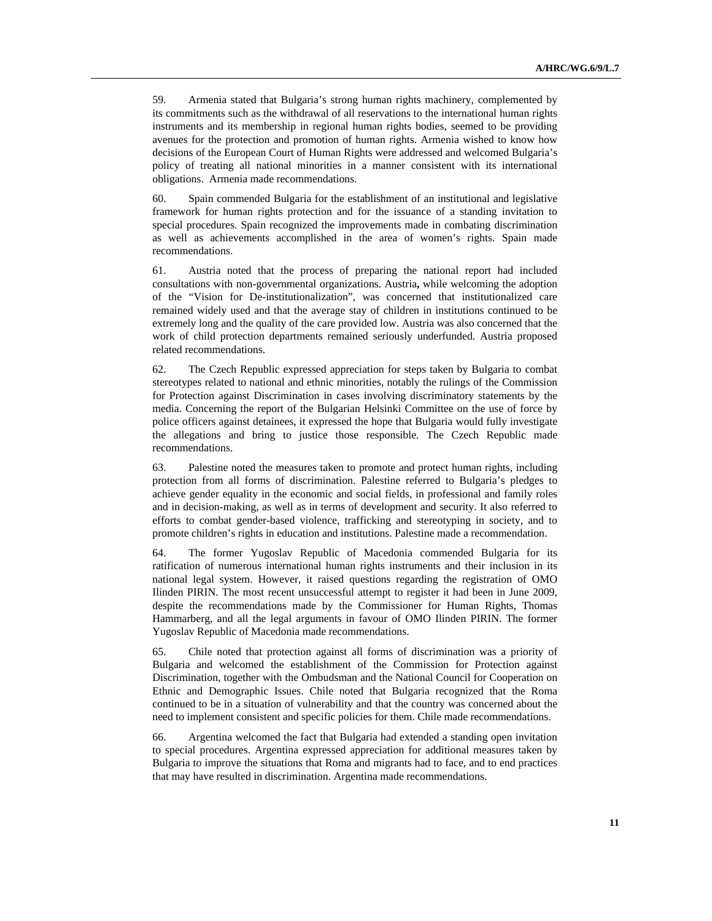59. Armenia stated that Bulgaria's strong human rights machinery, complemented by its commitments such as the withdrawal of all reservations to the international human rights instruments and its membership in regional human rights bodies, seemed to be providing avenues for the protection and promotion of human rights. Armenia wished to know how decisions of the European Court of Human Rights were addressed and welcomed Bulgaria's policy of treating all national minorities in a manner consistent with its international obligations. Armenia made recommendations.

60. Spain commended Bulgaria for the establishment of an institutional and legislative framework for human rights protection and for the issuance of a standing invitation to special procedures. Spain recognized the improvements made in combating discrimination as well as achievements accomplished in the area of women's rights. Spain made recommendations.

61. Austria noted that the process of preparing the national report had included consultations with non-governmental organizations. Austria**,** while welcoming the adoption of the "Vision for De-institutionalization", was concerned that institutionalized care remained widely used and that the average stay of children in institutions continued to be extremely long and the quality of the care provided low. Austria was also concerned that the work of child protection departments remained seriously underfunded. Austria proposed related recommendations.

62. The Czech Republic expressed appreciation for steps taken by Bulgaria to combat stereotypes related to national and ethnic minorities, notably the rulings of the Commission for Protection against Discrimination in cases involving discriminatory statements by the media. Concerning the report of the Bulgarian Helsinki Committee on the use of force by police officers against detainees, it expressed the hope that Bulgaria would fully investigate the allegations and bring to justice those responsible. The Czech Republic made recommendations.

63. Palestine noted the measures taken to promote and protect human rights, including protection from all forms of discrimination. Palestine referred to Bulgaria's pledges to achieve gender equality in the economic and social fields, in professional and family roles and in decision-making, as well as in terms of development and security. It also referred to efforts to combat gender-based violence, trafficking and stereotyping in society, and to promote children's rights in education and institutions. Palestine made a recommendation.

64. The former Yugoslav Republic of Macedonia commended Bulgaria for its ratification of numerous international human rights instruments and their inclusion in its national legal system. However, it raised questions regarding the registration of OMO Ilinden PIRIN. The most recent unsuccessful attempt to register it had been in June 2009, despite the recommendations made by the Commissioner for Human Rights, Thomas Hammarberg, and all the legal arguments in favour of OMO Ilinden PIRIN. The former Yugoslav Republic of Macedonia made recommendations.

65. Chile noted that protection against all forms of discrimination was a priority of Bulgaria and welcomed the establishment of the Commission for Protection against Discrimination, together with the Ombudsman and the National Council for Cooperation on Ethnic and Demographic Issues. Chile noted that Bulgaria recognized that the Roma continued to be in a situation of vulnerability and that the country was concerned about the need to implement consistent and specific policies for them. Chile made recommendations.

66. Argentina welcomed the fact that Bulgaria had extended a standing open invitation to special procedures. Argentina expressed appreciation for additional measures taken by Bulgaria to improve the situations that Roma and migrants had to face, and to end practices that may have resulted in discrimination. Argentina made recommendations.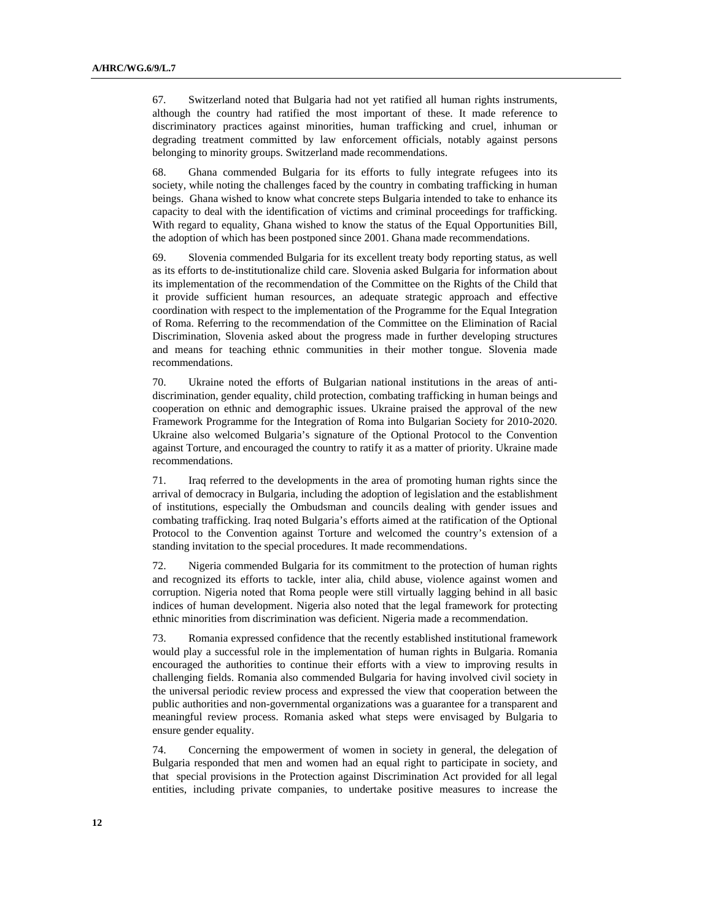67. Switzerland noted that Bulgaria had not yet ratified all human rights instruments, although the country had ratified the most important of these. It made reference to discriminatory practices against minorities, human trafficking and cruel, inhuman or degrading treatment committed by law enforcement officials, notably against persons belonging to minority groups. Switzerland made recommendations.

68. Ghana commended Bulgaria for its efforts to fully integrate refugees into its society, while noting the challenges faced by the country in combating trafficking in human beings. Ghana wished to know what concrete steps Bulgaria intended to take to enhance its capacity to deal with the identification of victims and criminal proceedings for trafficking. With regard to equality, Ghana wished to know the status of the Equal Opportunities Bill, the adoption of which has been postponed since 2001. Ghana made recommendations.

69. Slovenia commended Bulgaria for its excellent treaty body reporting status, as well as its efforts to de-institutionalize child care. Slovenia asked Bulgaria for information about its implementation of the recommendation of the Committee on the Rights of the Child that it provide sufficient human resources, an adequate strategic approach and effective coordination with respect to the implementation of the Programme for the Equal Integration of Roma. Referring to the recommendation of the Committee on the Elimination of Racial Discrimination, Slovenia asked about the progress made in further developing structures and means for teaching ethnic communities in their mother tongue. Slovenia made recommendations.

70. Ukraine noted the efforts of Bulgarian national institutions in the areas of antidiscrimination, gender equality, child protection, combating trafficking in human beings and cooperation on ethnic and demographic issues. Ukraine praised the approval of the new Framework Programme for the Integration of Roma into Bulgarian Society for 2010-2020. Ukraine also welcomed Bulgaria's signature of the Optional Protocol to the Convention against Torture, and encouraged the country to ratify it as a matter of priority. Ukraine made recommendations.

71. Iraq referred to the developments in the area of promoting human rights since the arrival of democracy in Bulgaria, including the adoption of legislation and the establishment of institutions, especially the Ombudsman and councils dealing with gender issues and combating trafficking. Iraq noted Bulgaria's efforts aimed at the ratification of the Optional Protocol to the Convention against Torture and welcomed the country's extension of a standing invitation to the special procedures. It made recommendations.

72. Nigeria commended Bulgaria for its commitment to the protection of human rights and recognized its efforts to tackle, inter alia, child abuse, violence against women and corruption. Nigeria noted that Roma people were still virtually lagging behind in all basic indices of human development. Nigeria also noted that the legal framework for protecting ethnic minorities from discrimination was deficient. Nigeria made a recommendation.

73. Romania expressed confidence that the recently established institutional framework would play a successful role in the implementation of human rights in Bulgaria. Romania encouraged the authorities to continue their efforts with a view to improving results in challenging fields. Romania also commended Bulgaria for having involved civil society in the universal periodic review process and expressed the view that cooperation between the public authorities and non-governmental organizations was a guarantee for a transparent and meaningful review process. Romania asked what steps were envisaged by Bulgaria to ensure gender equality.

74. Concerning the empowerment of women in society in general, the delegation of Bulgaria responded that men and women had an equal right to participate in society, and that special provisions in the Protection against Discrimination Act provided for all legal entities, including private companies, to undertake positive measures to increase the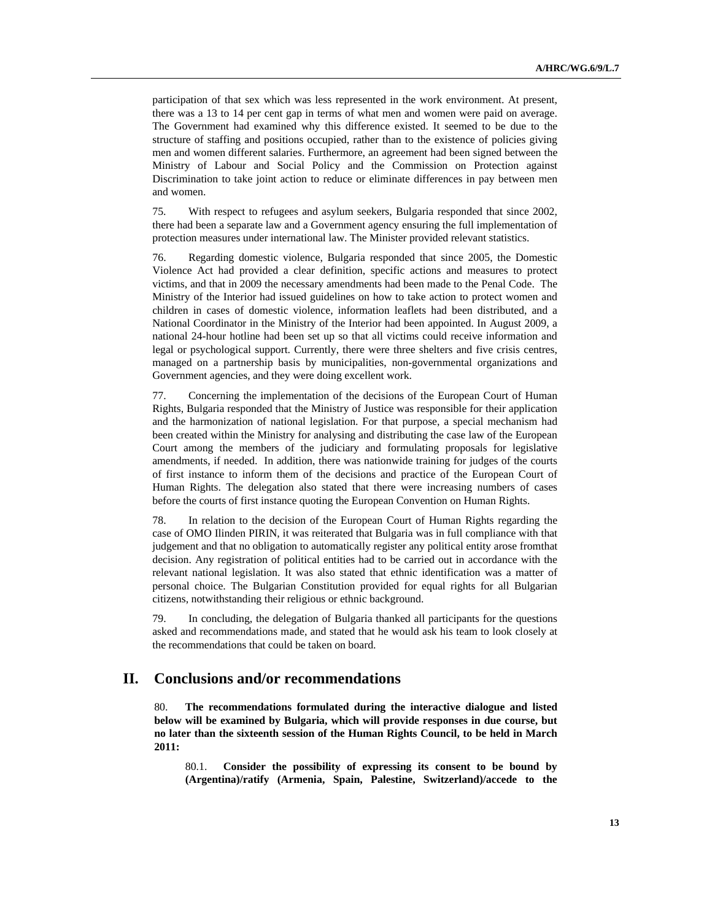participation of that sex which was less represented in the work environment. At present, there was a 13 to 14 per cent gap in terms of what men and women were paid on average. The Government had examined why this difference existed. It seemed to be due to the structure of staffing and positions occupied, rather than to the existence of policies giving men and women different salaries. Furthermore, an agreement had been signed between the Ministry of Labour and Social Policy and the Commission on Protection against Discrimination to take joint action to reduce or eliminate differences in pay between men and women.

75. With respect to refugees and asylum seekers, Bulgaria responded that since 2002, there had been a separate law and a Government agency ensuring the full implementation of protection measures under international law. The Minister provided relevant statistics.

76. Regarding domestic violence, Bulgaria responded that since 2005, the Domestic Violence Act had provided a clear definition, specific actions and measures to protect victims, and that in 2009 the necessary amendments had been made to the Penal Code. The Ministry of the Interior had issued guidelines on how to take action to protect women and children in cases of domestic violence, information leaflets had been distributed, and a National Coordinator in the Ministry of the Interior had been appointed. In August 2009, a national 24-hour hotline had been set up so that all victims could receive information and legal or psychological support. Currently, there were three shelters and five crisis centres, managed on a partnership basis by municipalities, non-governmental organizations and Government agencies, and they were doing excellent work.

77. Concerning the implementation of the decisions of the European Court of Human Rights, Bulgaria responded that the Ministry of Justice was responsible for their application and the harmonization of national legislation. For that purpose, a special mechanism had been created within the Ministry for analysing and distributing the case law of the European Court among the members of the judiciary and formulating proposals for legislative amendments, if needed. In addition, there was nationwide training for judges of the courts of first instance to inform them of the decisions and practice of the European Court of Human Rights. The delegation also stated that there were increasing numbers of cases before the courts of first instance quoting the European Convention on Human Rights.

78. In relation to the decision of the European Court of Human Rights regarding the case of OMO Ilinden PIRIN, it was reiterated that Bulgaria was in full compliance with that judgement and that no obligation to automatically register any political entity arose fromthat decision. Any registration of political entities had to be carried out in accordance with the relevant national legislation. It was also stated that ethnic identification was a matter of personal choice. The Bulgarian Constitution provided for equal rights for all Bulgarian citizens, notwithstanding their religious or ethnic background.

79. In concluding, the delegation of Bulgaria thanked all participants for the questions asked and recommendations made, and stated that he would ask his team to look closely at the recommendations that could be taken on board.

# **II. Conclusions and/or recommendations**

80. **The recommendations formulated during the interactive dialogue and listed below will be examined by Bulgaria, which will provide responses in due course, but no later than the sixteenth session of the Human Rights Council, to be held in March 2011:**

80.1. **Consider the possibility of expressing its consent to be bound by (Argentina)/ratify (Armenia, Spain, Palestine, Switzerland)/accede to the**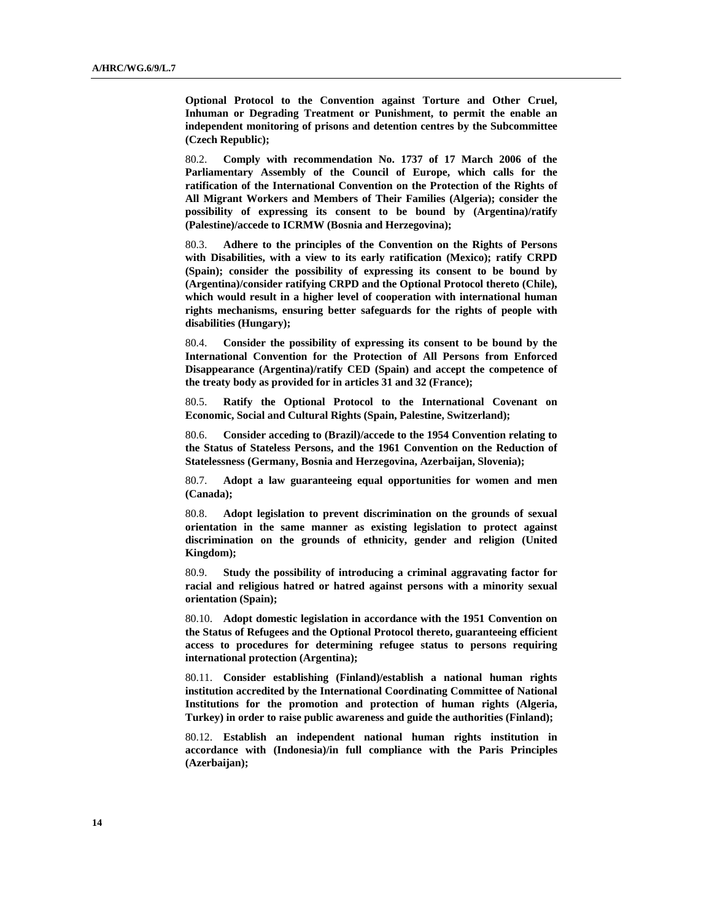**Optional Protocol to the Convention against Torture and Other Cruel, Inhuman or Degrading Treatment or Punishment, to permit the enable an independent monitoring of prisons and detention centres by the Subcommittee (Czech Republic);** 

80.2. **Comply with recommendation No. 1737 of 17 March 2006 of the Parliamentary Assembly of the Council of Europe, which calls for the ratification of the International Convention on the Protection of the Rights of All Migrant Workers and Members of Their Families (Algeria); consider the possibility of expressing its consent to be bound by (Argentina)/ratify (Palestine)/accede to ICRMW (Bosnia and Herzegovina);** 

80.3. **Adhere to the principles of the Convention on the Rights of Persons with Disabilities, with a view to its early ratification (Mexico); ratify CRPD (Spain); consider the possibility of expressing its consent to be bound by (Argentina)/consider ratifying CRPD and the Optional Protocol thereto (Chile), which would result in a higher level of cooperation with international human rights mechanisms, ensuring better safeguards for the rights of people with disabilities (Hungary);** 

80.4. **Consider the possibility of expressing its consent to be bound by the International Convention for the Protection of All Persons from Enforced Disappearance (Argentina)/ratify CED (Spain) and accept the competence of the treaty body as provided for in articles 31 and 32 (France);** 

80.5. **Ratify the Optional Protocol to the International Covenant on Economic, Social and Cultural Rights (Spain, Palestine, Switzerland);** 

80.6. **Consider acceding to (Brazil)/accede to the 1954 Convention relating to the Status of Stateless Persons, and the 1961 Convention on the Reduction of Statelessness (Germany, Bosnia and Herzegovina, Azerbaijan, Slovenia);** 

80.7. **Adopt a law guaranteeing equal opportunities for women and men (Canada);** 

80.8. **Adopt legislation to prevent discrimination on the grounds of sexual orientation in the same manner as existing legislation to protect against discrimination on the grounds of ethnicity, gender and religion (United Kingdom);** 

80.9. **Study the possibility of introducing a criminal aggravating factor for racial and religious hatred or hatred against persons with a minority sexual orientation (Spain);** 

80.10. **Adopt domestic legislation in accordance with the 1951 Convention on the Status of Refugees and the Optional Protocol thereto, guaranteeing efficient access to procedures for determining refugee status to persons requiring international protection (Argentina);** 

80.11. **Consider establishing (Finland)/establish a national human rights institution accredited by the International Coordinating Committee of National Institutions for the promotion and protection of human rights (Algeria, Turkey) in order to raise public awareness and guide the authorities (Finland);** 

80.12. **Establish an independent national human rights institution in accordance with (Indonesia)/in full compliance with the Paris Principles (Azerbaijan);**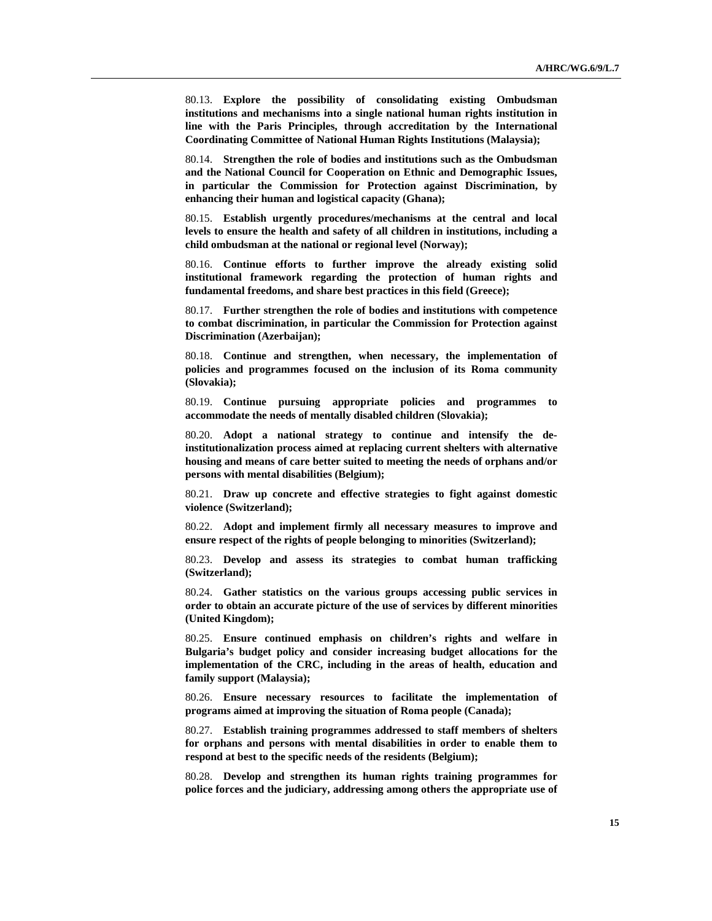80.13. **Explore the possibility of consolidating existing Ombudsman institutions and mechanisms into a single national human rights institution in line with the Paris Principles, through accreditation by the International Coordinating Committee of National Human Rights Institutions (Malaysia);** 

80.14. **Strengthen the role of bodies and institutions such as the Ombudsman and the National Council for Cooperation on Ethnic and Demographic Issues, in particular the Commission for Protection against Discrimination, by enhancing their human and logistical capacity (Ghana);** 

80.15. **Establish urgently procedures/mechanisms at the central and local levels to ensure the health and safety of all children in institutions, including a child ombudsman at the national or regional level (Norway);** 

80.16. **Continue efforts to further improve the already existing solid institutional framework regarding the protection of human rights and fundamental freedoms, and share best practices in this field (Greece);** 

80.17. **Further strengthen the role of bodies and institutions with competence to combat discrimination, in particular the Commission for Protection against Discrimination (Azerbaijan);** 

80.18. **Continue and strengthen, when necessary, the implementation of policies and programmes focused on the inclusion of its Roma community (Slovakia);** 

80.19. **Continue pursuing appropriate policies and programmes to accommodate the needs of mentally disabled children (Slovakia);** 

80.20. **Adopt a national strategy to continue and intensify the deinstitutionalization process aimed at replacing current shelters with alternative housing and means of care better suited to meeting the needs of orphans and/or persons with mental disabilities (Belgium);** 

80.21. **Draw up concrete and effective strategies to fight against domestic violence (Switzerland);** 

80.22. **Adopt and implement firmly all necessary measures to improve and ensure respect of the rights of people belonging to minorities (Switzerland);** 

80.23. **Develop and assess its strategies to combat human trafficking (Switzerland);** 

80.24. **Gather statistics on the various groups accessing public services in order to obtain an accurate picture of the use of services by different minorities (United Kingdom);** 

80.25. **Ensure continued emphasis on children's rights and welfare in Bulgaria's budget policy and consider increasing budget allocations for the implementation of the CRC, including in the areas of health, education and family support (Malaysia);** 

80.26. **Ensure necessary resources to facilitate the implementation of programs aimed at improving the situation of Roma people (Canada);** 

80.27. **Establish training programmes addressed to staff members of shelters for orphans and persons with mental disabilities in order to enable them to respond at best to the specific needs of the residents (Belgium);** 

80.28. **Develop and strengthen its human rights training programmes for police forces and the judiciary, addressing among others the appropriate use of**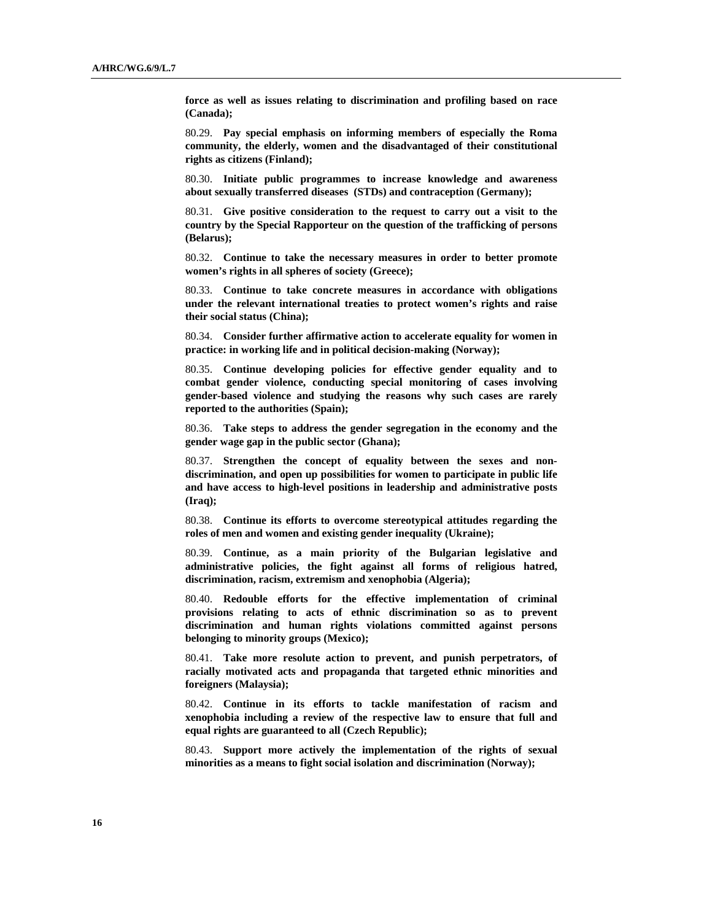**force as well as issues relating to discrimination and profiling based on race (Canada);** 

80.29. **Pay special emphasis on informing members of especially the Roma community, the elderly, women and the disadvantaged of their constitutional rights as citizens (Finland);** 

80.30. **Initiate public programmes to increase knowledge and awareness about sexually transferred diseases (STDs) and contraception (Germany);** 

80.31. **Give positive consideration to the request to carry out a visit to the country by the Special Rapporteur on the question of the trafficking of persons (Belarus);** 

80.32. **Continue to take the necessary measures in order to better promote women's rights in all spheres of society (Greece);** 

80.33. **Continue to take concrete measures in accordance with obligations under the relevant international treaties to protect women's rights and raise their social status (China);** 

80.34. **Consider further affirmative action to accelerate equality for women in practice: in working life and in political decision-making (Norway);** 

80.35. **Continue developing policies for effective gender equality and to combat gender violence, conducting special monitoring of cases involving gender-based violence and studying the reasons why such cases are rarely reported to the authorities (Spain);** 

80.36. **Take steps to address the gender segregation in the economy and the gender wage gap in the public sector (Ghana);** 

80.37. **Strengthen the concept of equality between the sexes and nondiscrimination, and open up possibilities for women to participate in public life and have access to high-level positions in leadership and administrative posts (Iraq);** 

80.38. **Continue its efforts to overcome stereotypical attitudes regarding the roles of men and women and existing gender inequality (Ukraine);** 

80.39. **Continue, as a main priority of the Bulgarian legislative and administrative policies, the fight against all forms of religious hatred, discrimination, racism, extremism and xenophobia (Algeria);** 

80.40. **Redouble efforts for the effective implementation of criminal provisions relating to acts of ethnic discrimination so as to prevent discrimination and human rights violations committed against persons belonging to minority groups (Mexico);** 

80.41. **Take more resolute action to prevent, and punish perpetrators, of racially motivated acts and propaganda that targeted ethnic minorities and foreigners (Malaysia);** 

80.42. **Continue in its efforts to tackle manifestation of racism and xenophobia including a review of the respective law to ensure that full and equal rights are guaranteed to all (Czech Republic);** 

80.43. **Support more actively the implementation of the rights of sexual minorities as a means to fight social isolation and discrimination (Norway);**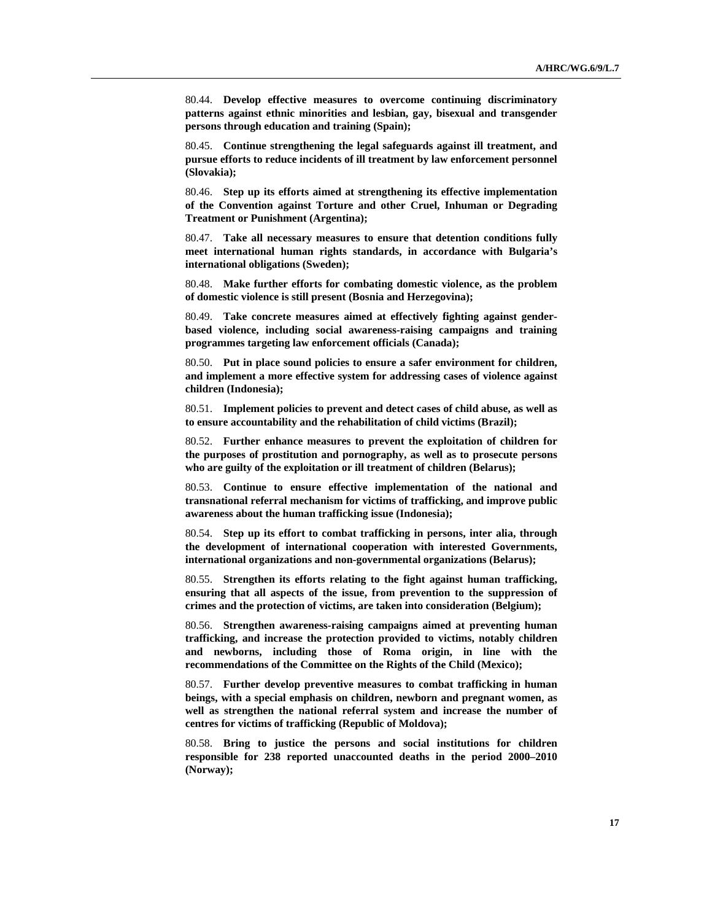80.44. **Develop effective measures to overcome continuing discriminatory patterns against ethnic minorities and lesbian, gay, bisexual and transgender persons through education and training (Spain);** 

80.45. **Continue strengthening the legal safeguards against ill treatment, and pursue efforts to reduce incidents of ill treatment by law enforcement personnel (Slovakia);** 

80.46. **Step up its efforts aimed at strengthening its effective implementation of the Convention against Torture and other Cruel, Inhuman or Degrading Treatment or Punishment (Argentina);** 

80.47. **Take all necessary measures to ensure that detention conditions fully meet international human rights standards, in accordance with Bulgaria's international obligations (Sweden);** 

80.48. **Make further efforts for combating domestic violence, as the problem of domestic violence is still present (Bosnia and Herzegovina);** 

80.49. **Take concrete measures aimed at effectively fighting against genderbased violence, including social awareness-raising campaigns and training programmes targeting law enforcement officials (Canada);** 

80.50. **Put in place sound policies to ensure a safer environment for children, and implement a more effective system for addressing cases of violence against children (Indonesia);** 

80.51. **Implement policies to prevent and detect cases of child abuse, as well as to ensure accountability and the rehabilitation of child victims (Brazil);** 

80.52. **Further enhance measures to prevent the exploitation of children for the purposes of prostitution and pornography, as well as to prosecute persons who are guilty of the exploitation or ill treatment of children (Belarus);** 

80.53. **Continue to ensure effective implementation of the national and transnational referral mechanism for victims of trafficking, and improve public awareness about the human trafficking issue (Indonesia);** 

80.54. **Step up its effort to combat trafficking in persons, inter alia, through the development of international cooperation with interested Governments, international organizations and non-governmental organizations (Belarus);** 

80.55. **Strengthen its efforts relating to the fight against human trafficking, ensuring that all aspects of the issue, from prevention to the suppression of crimes and the protection of victims, are taken into consideration (Belgium);** 

80.56. **Strengthen awareness-raising campaigns aimed at preventing human trafficking, and increase the protection provided to victims, notably children and newborns, including those of Roma origin, in line with the recommendations of the Committee on the Rights of the Child (Mexico);** 

80.57. **Further develop preventive measures to combat trafficking in human beings, with a special emphasis on children, newborn and pregnant women, as well as strengthen the national referral system and increase the number of centres for victims of trafficking (Republic of Moldova);** 

80.58. **Bring to justice the persons and social institutions for children responsible for 238 reported unaccounted deaths in the period 2000–2010 (Norway);**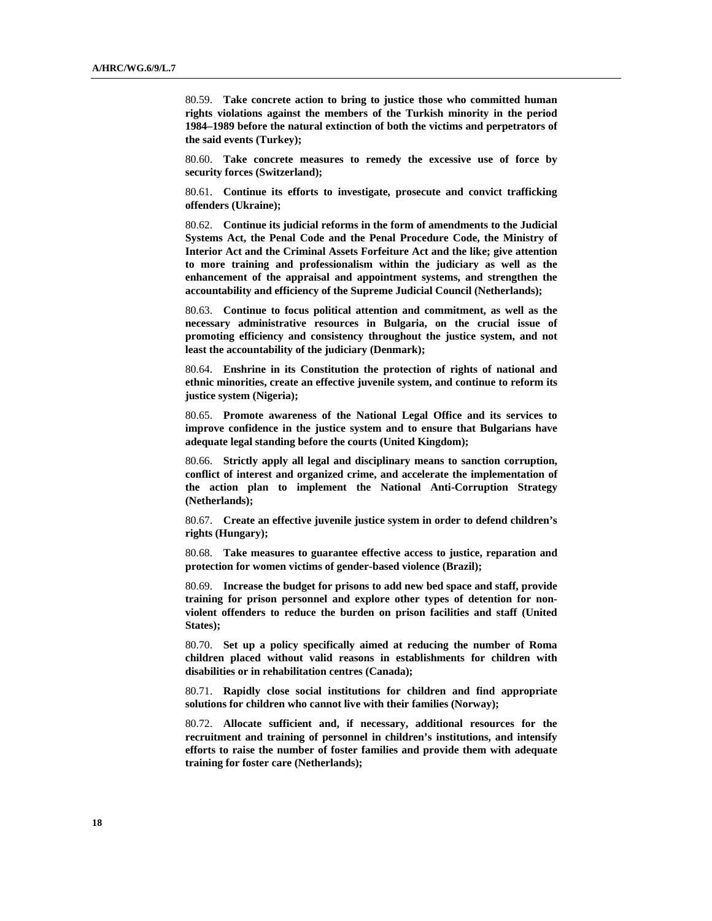80.59. **Take concrete action to bring to justice those who committed human rights violations against the members of the Turkish minority in the period 1984–1989 before the natural extinction of both the victims and perpetrators of the said events (Turkey);** 

80.60. **Take concrete measures to remedy the excessive use of force by security forces (Switzerland);** 

80.61. **Continue its efforts to investigate, prosecute and convict trafficking offenders (Ukraine);** 

80.62. **Continue its judicial reforms in the form of amendments to the Judicial Systems Act, the Penal Code and the Penal Procedure Code, the Ministry of Interior Act and the Criminal Assets Forfeiture Act and the like; give attention to more training and professionalism within the judiciary as well as the enhancement of the appraisal and appointment systems, and strengthen the accountability and efficiency of the Supreme Judicial Council (Netherlands);** 

80.63. **Continue to focus political attention and commitment, as well as the necessary administrative resources in Bulgaria, on the crucial issue of promoting efficiency and consistency throughout the justice system, and not least the accountability of the judiciary (Denmark);** 

80.64. **Enshrine in its Constitution the protection of rights of national and ethnic minorities, create an effective juvenile system, and continue to reform its justice system (Nigeria);** 

80.65. **Promote awareness of the National Legal Office and its services to improve confidence in the justice system and to ensure that Bulgarians have adequate legal standing before the courts (United Kingdom);** 

80.66. **Strictly apply all legal and disciplinary means to sanction corruption, conflict of interest and organized crime, and accelerate the implementation of the action plan to implement the National Anti-Corruption Strategy (Netherlands);** 

80.67. **Create an effective juvenile justice system in order to defend children's rights (Hungary);** 

80.68. **Take measures to guarantee effective access to justice, reparation and protection for women victims of gender-based violence (Brazil);** 

80.69. **Increase the budget for prisons to add new bed space and staff, provide training for prison personnel and explore other types of detention for nonviolent offenders to reduce the burden on prison facilities and staff (United States);** 

80.70. **Set up a policy specifically aimed at reducing the number of Roma children placed without valid reasons in establishments for children with disabilities or in rehabilitation centres (Canada);** 

80.71. **Rapidly close social institutions for children and find appropriate solutions for children who cannot live with their families (Norway);** 

80.72. **Allocate sufficient and, if necessary, additional resources for the recruitment and training of personnel in children's institutions, and intensify efforts to raise the number of foster families and provide them with adequate training for foster care (Netherlands);**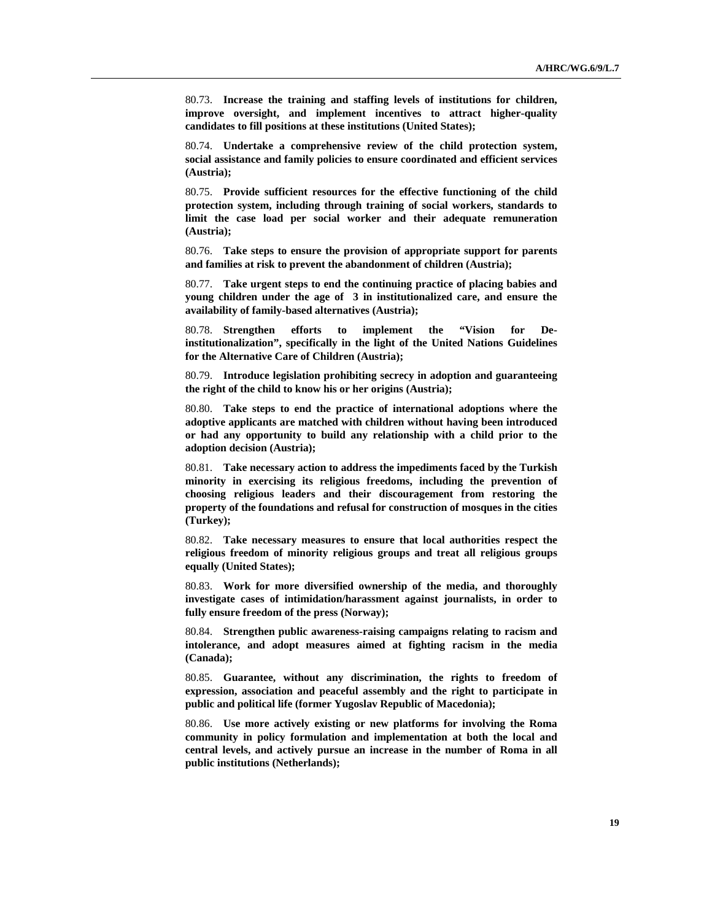80.73. **Increase the training and staffing levels of institutions for children, improve oversight, and implement incentives to attract higher-quality candidates to fill positions at these institutions (United States);** 

80.74. **Undertake a comprehensive review of the child protection system, social assistance and family policies to ensure coordinated and efficient services (Austria);** 

80.75. **Provide sufficient resources for the effective functioning of the child protection system, including through training of social workers, standards to limit the case load per social worker and their adequate remuneration (Austria);** 

80.76. **Take steps to ensure the provision of appropriate support for parents and families at risk to prevent the abandonment of children (Austria);** 

80.77. **Take urgent steps to end the continuing practice of placing babies and young children under the age of 3 in institutionalized care, and ensure the availability of family-based alternatives (Austria);** 

80.78. **Strengthen efforts to implement the "Vision for Deinstitutionalization", specifically in the light of the United Nations Guidelines for the Alternative Care of Children (Austria);** 

80.79. **Introduce legislation prohibiting secrecy in adoption and guaranteeing the right of the child to know his or her origins (Austria);** 

80.80. **Take steps to end the practice of international adoptions where the adoptive applicants are matched with children without having been introduced or had any opportunity to build any relationship with a child prior to the adoption decision (Austria);** 

80.81. **Take necessary action to address the impediments faced by the Turkish minority in exercising its religious freedoms, including the prevention of choosing religious leaders and their discouragement from restoring the property of the foundations and refusal for construction of mosques in the cities (Turkey);** 

80.82. **Take necessary measures to ensure that local authorities respect the religious freedom of minority religious groups and treat all religious groups equally (United States);** 

80.83. **Work for more diversified ownership of the media, and thoroughly investigate cases of intimidation/harassment against journalists, in order to fully ensure freedom of the press (Norway);** 

80.84. **Strengthen public awareness-raising campaigns relating to racism and intolerance, and adopt measures aimed at fighting racism in the media (Canada);** 

80.85. **Guarantee, without any discrimination, the rights to freedom of expression, association and peaceful assembly and the right to participate in public and political life (former Yugoslav Republic of Macedonia);** 

80.86. **Use more actively existing or new platforms for involving the Roma community in policy formulation and implementation at both the local and central levels, and actively pursue an increase in the number of Roma in all public institutions (Netherlands);**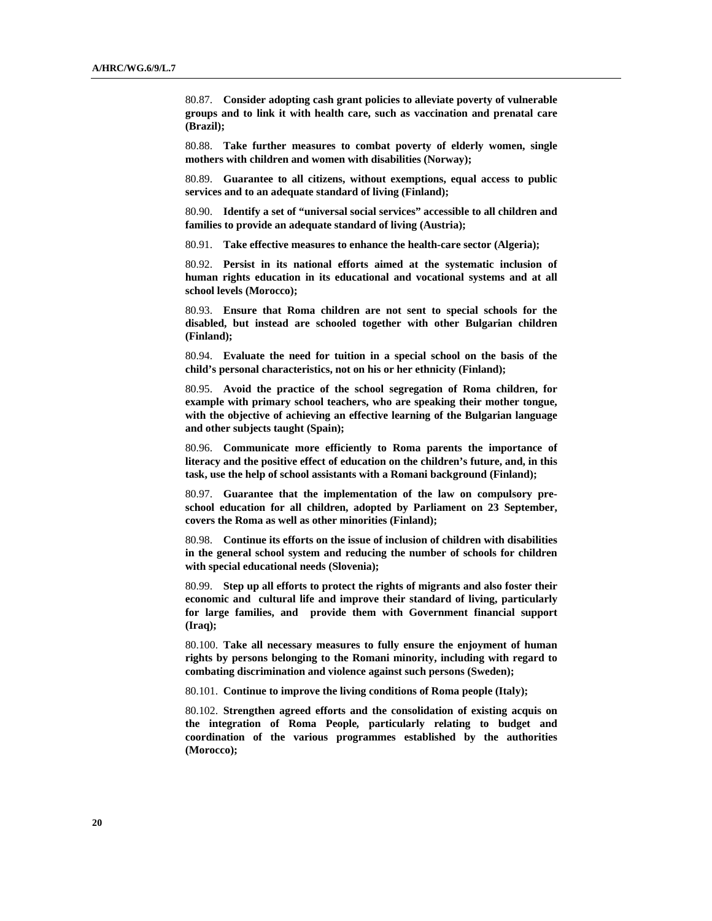80.87. **Consider adopting cash grant policies to alleviate poverty of vulnerable groups and to link it with health care, such as vaccination and prenatal care (Brazil);** 

80.88. **Take further measures to combat poverty of elderly women, single mothers with children and women with disabilities (Norway);** 

80.89. **Guarantee to all citizens, without exemptions, equal access to public services and to an adequate standard of living (Finland);** 

80.90. **Identify a set of "universal social services" accessible to all children and families to provide an adequate standard of living (Austria);** 

80.91. **Take effective measures to enhance the health-care sector (Algeria);** 

80.92. **Persist in its national efforts aimed at the systematic inclusion of human rights education in its educational and vocational systems and at all school levels (Morocco);** 

80.93. **Ensure that Roma children are not sent to special schools for the disabled, but instead are schooled together with other Bulgarian children (Finland);** 

80.94. **Evaluate the need for tuition in a special school on the basis of the child's personal characteristics, not on his or her ethnicity (Finland);** 

80.95. **Avoid the practice of the school segregation of Roma children, for example with primary school teachers, who are speaking their mother tongue, with the objective of achieving an effective learning of the Bulgarian language and other subjects taught (Spain);** 

80.96. **Communicate more efficiently to Roma parents the importance of literacy and the positive effect of education on the children's future, and, in this task, use the help of school assistants with a Romani background (Finland);** 

80.97. **Guarantee that the implementation of the law on compulsory preschool education for all children, adopted by Parliament on 23 September, covers the Roma as well as other minorities (Finland);** 

80.98. **Continue its efforts on the issue of inclusion of children with disabilities in the general school system and reducing the number of schools for children with special educational needs (Slovenia);** 

80.99. **Step up all efforts to protect the rights of migrants and also foster their economic and cultural life and improve their standard of living, particularly for large families, and provide them with Government financial support (Iraq);** 

80.100. **Take all necessary measures to fully ensure the enjoyment of human rights by persons belonging to the Romani minority, including with regard to combating discrimination and violence against such persons (Sweden);** 

80.101. **Continue to improve the living conditions of Roma people (Italy);** 

80.102. **Strengthen agreed efforts and the consolidation of existing acquis on the integration of Roma People***,* **particularly relating to budget and coordination of the various programmes established by the authorities (Morocco);**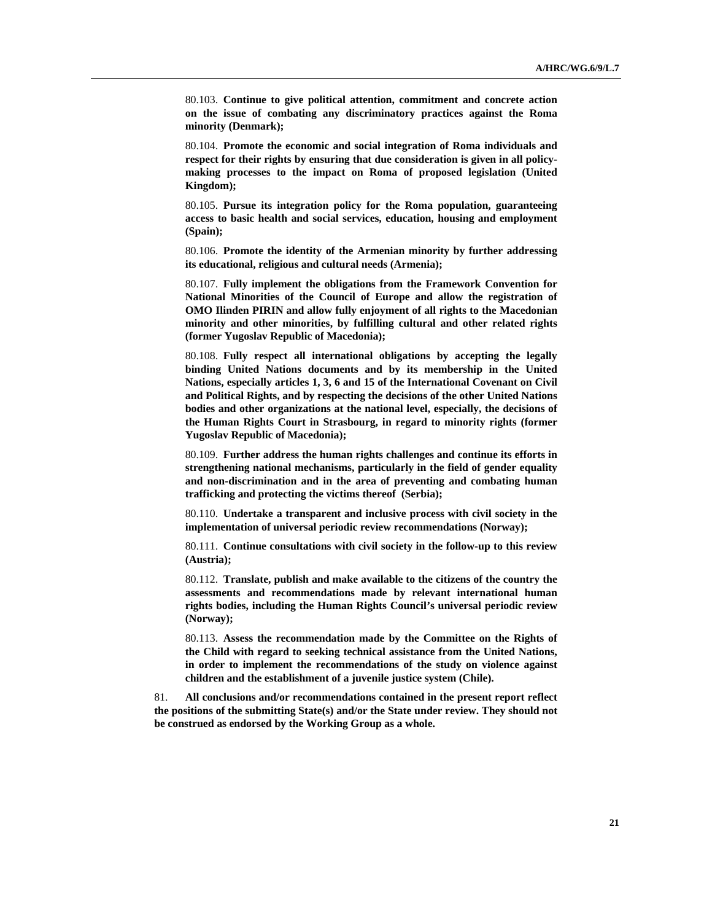80.103. **Continue to give political attention, commitment and concrete action on the issue of combating any discriminatory practices against the Roma minority (Denmark);** 

80.104. **Promote the economic and social integration of Roma individuals and respect for their rights by ensuring that due consideration is given in all policymaking processes to the impact on Roma of proposed legislation (United Kingdom);** 

80.105. **Pursue its integration policy for the Roma population, guaranteeing access to basic health and social services, education, housing and employment (Spain);** 

80.106. **Promote the identity of the Armenian minority by further addressing its educational, religious and cultural needs (Armenia);** 

80.107. **Fully implement the obligations from the Framework Convention for National Minorities of the Council of Europe and allow the registration of OMO Ilinden PIRIN and allow fully enjoyment of all rights to the Macedonian minority and other minorities, by fulfilling cultural and other related rights (former Yugoslav Republic of Macedonia);** 

80.108. **Fully respect all international obligations by accepting the legally binding United Nations documents and by its membership in the United Nations, especially articles 1, 3, 6 and 15 of the International Covenant on Civil and Political Rights, and by respecting the decisions of the other United Nations bodies and other organizations at the national level, especially, the decisions of the Human Rights Court in Strasbourg, in regard to minority rights (former Yugoslav Republic of Macedonia);** 

80.109. **Further address the human rights challenges and continue its efforts in strengthening national mechanisms, particularly in the field of gender equality and non-discrimination and in the area of preventing and combating human trafficking and protecting the victims thereof (Serbia);** 

80.110. **Undertake a transparent and inclusive process with civil society in the implementation of universal periodic review recommendations (Norway);** 

80.111. **Continue consultations with civil society in the follow-up to this review (Austria);** 

80.112. **Translate, publish and make available to the citizens of the country the assessments and recommendations made by relevant international human rights bodies, including the Human Rights Council's universal periodic review (Norway);** 

80.113. **Assess the recommendation made by the Committee on the Rights of the Child with regard to seeking technical assistance from the United Nations, in order to implement the recommendations of the study on violence against children and the establishment of a juvenile justice system (Chile).**

81. **All conclusions and/or recommendations contained in the present report reflect the positions of the submitting State(s) and/or the State under review. They should not be construed as endorsed by the Working Group as a whole.**